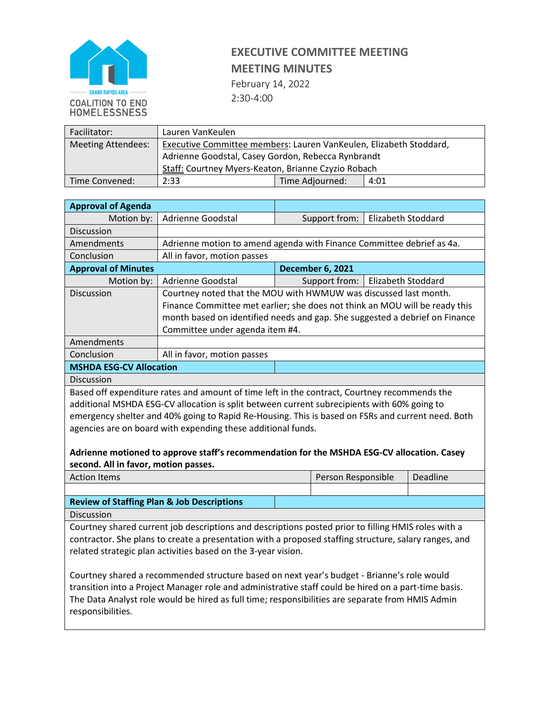

## **EXECUTIVE COMMITTEE MEETING MEETING MINUTES**

February 14, 2022 2:30-4:00

| Facilitator:              | Lauren VanKeulen                                                   |                 |      |
|---------------------------|--------------------------------------------------------------------|-----------------|------|
| <b>Meeting Attendees:</b> | Executive Committee members: Lauren VanKeulen, Elizabeth Stoddard, |                 |      |
|                           | Adrienne Goodstal, Casey Gordon, Rebecca Rynbrandt                 |                 |      |
|                           | Staff: Courtney Myers-Keaton, Brianne Czyzio Robach                |                 |      |
| Time Convened:            | 2:33                                                               | Time Adjourned: | 4:01 |

| <b>Approval of Agenda</b>      |                                                                             |                         |                    |  |
|--------------------------------|-----------------------------------------------------------------------------|-------------------------|--------------------|--|
| Motion by:                     | Adrienne Goodstal                                                           | Support from:           | Elizabeth Stoddard |  |
| <b>Discussion</b>              |                                                                             |                         |                    |  |
| Amendments                     | Adrienne motion to amend agenda with Finance Committee debrief as 4a.       |                         |                    |  |
| Conclusion                     | All in favor, motion passes                                                 |                         |                    |  |
| <b>Approval of Minutes</b>     |                                                                             | <b>December 6, 2021</b> |                    |  |
| Motion by:                     | Adrienne Goodstal                                                           | Support from:           | Elizabeth Stoddard |  |
| Discussion                     | Courtney noted that the MOU with HWMUW was discussed last month.            |                         |                    |  |
|                                | Finance Committee met earlier; she does not think an MOU will be ready this |                         |                    |  |
|                                | month based on identified needs and gap. She suggested a debrief on Finance |                         |                    |  |
|                                | Committee under agenda item #4.                                             |                         |                    |  |
| Amendments                     |                                                                             |                         |                    |  |
| Conclusion                     | All in favor, motion passes                                                 |                         |                    |  |
| <b>MSHDA ESG-CV Allocation</b> |                                                                             |                         |                    |  |

Discussion

Based off expenditure rates and amount of time left in the contract, Courtney recommends the additional MSHDA ESG-CV allocation is split between current subrecipients with 60% going to emergency shelter and 40% going to Rapid Re-Housing. This is based on FSRs and current need. Both agencies are on board with expending these additional funds.

#### **Adrienne motioned to approve staff's recommendation for the MSHDA ESG-CV allocation. Casey second. All in favor, motion passes.**

| <b>Action Items</b>                                                                                             | Person Responsible | Deadline |  |
|-----------------------------------------------------------------------------------------------------------------|--------------------|----------|--|
|                                                                                                                 |                    |          |  |
| the contract of the contract of the contract of the contract of the contract of the contract of the contract of |                    |          |  |

**Review of Staffing Plan & Job Descriptions** 

Discussion

Courtney shared current job descriptions and descriptions posted prior to filling HMIS roles with a contractor. She plans to create a presentation with a proposed staffing structure, salary ranges, and related strategic plan activities based on the 3-year vision.

Courtney shared a recommended structure based on next year's budget - Brianne's role would transition into a Project Manager role and administrative staff could be hired on a part-time basis. The Data Analyst role would be hired as full time; responsibilities are separate from HMIS Admin responsibilities.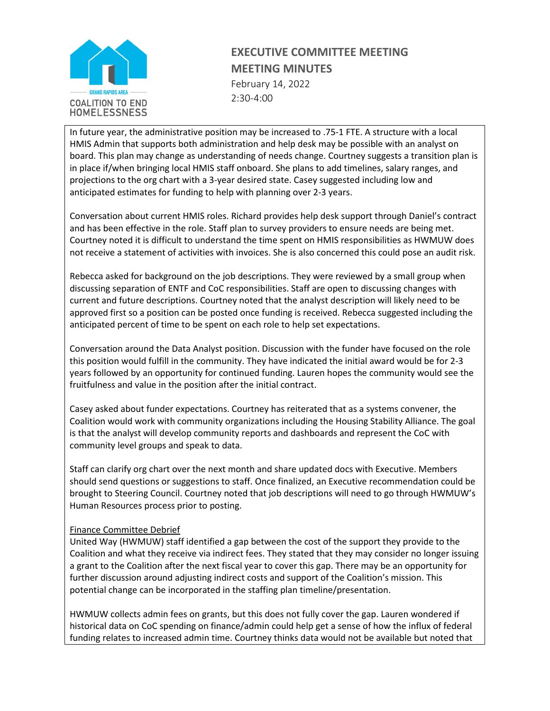

### **EXECUTIVE COMMITTEE MEETING MEETING MINUTES** February 14, 2022

2:30-4:00

In future year, the administrative position may be increased to .75-1 FTE. A structure with a local HMIS Admin that supports both administration and help desk may be possible with an analyst on board. This plan may change as understanding of needs change. Courtney suggests a transition plan is in place if/when bringing local HMIS staff onboard. She plans to add timelines, salary ranges, and projections to the org chart with a 3-year desired state. Casey suggested including low and anticipated estimates for funding to help with planning over 2-3 years.

Conversation about current HMIS roles. Richard provides help desk support through Daniel's contract and has been effective in the role. Staff plan to survey providers to ensure needs are being met. Courtney noted it is difficult to understand the time spent on HMIS responsibilities as HWMUW does not receive a statement of activities with invoices. She is also concerned this could pose an audit risk.

Rebecca asked for background on the job descriptions. They were reviewed by a small group when discussing separation of ENTF and CoC responsibilities. Staff are open to discussing changes with current and future descriptions. Courtney noted that the analyst description will likely need to be approved first so a position can be posted once funding is received. Rebecca suggested including the anticipated percent of time to be spent on each role to help set expectations.

Conversation around the Data Analyst position. Discussion with the funder have focused on the role this position would fulfill in the community. They have indicated the initial award would be for 2-3 years followed by an opportunity for continued funding. Lauren hopes the community would see the fruitfulness and value in the position after the initial contract.

Casey asked about funder expectations. Courtney has reiterated that as a systems convener, the Coalition would work with community organizations including the Housing Stability Alliance. The goal is that the analyst will develop community reports and dashboards and represent the CoC with community level groups and speak to data.

Staff can clarify org chart over the next month and share updated docs with Executive. Members should send questions or suggestions to staff. Once finalized, an Executive recommendation could be brought to Steering Council. Courtney noted that job descriptions will need to go through HWMUW's Human Resources process prior to posting.

#### Finance Committee Debrief

United Way (HWMUW) staff identified a gap between the cost of the support they provide to the Coalition and what they receive via indirect fees. They stated that they may consider no longer issuing a grant to the Coalition after the next fiscal year to cover this gap. There may be an opportunity for further discussion around adjusting indirect costs and support of the Coalition's mission. This potential change can be incorporated in the staffing plan timeline/presentation.

HWMUW collects admin fees on grants, but this does not fully cover the gap. Lauren wondered if historical data on CoC spending on finance/admin could help get a sense of how the influx of federal funding relates to increased admin time. Courtney thinks data would not be available but noted that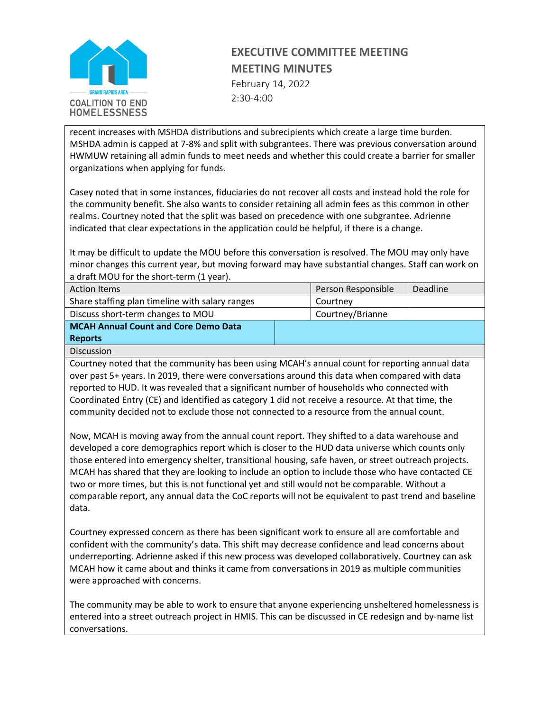

# **EXECUTIVE COMMITTEE MEETING MEETING MINUTES**

February 14, 2022 2:30-4:00

recent increases with MSHDA distributions and subrecipients which create a large time burden. MSHDA admin is capped at 7-8% and split with subgrantees. There was previous conversation around HWMUW retaining all admin funds to meet needs and whether this could create a barrier for smaller organizations when applying for funds.

Casey noted that in some instances, fiduciaries do not recover all costs and instead hold the role for the community benefit. She also wants to consider retaining all admin fees as this common in other realms. Courtney noted that the split was based on precedence with one subgrantee. Adrienne indicated that clear expectations in the application could be helpful, if there is a change.

It may be difficult to update the MOU before this conversation is resolved. The MOU may only have minor changes this current year, but moving forward may have substantial changes. Staff can work on a draft MOU for the short-term (1 year).

| <b>Action Items</b>                             | Person Responsible | Deadline |
|-------------------------------------------------|--------------------|----------|
| Share staffing plan timeline with salary ranges | Courtney           |          |
| Discuss short-term changes to MOU               | Courtney/Brianne   |          |
| <b>MCAH Annual Count and Core Demo Data</b>     |                    |          |
| <b>Reports</b>                                  |                    |          |
| Discussion                                      |                    |          |

Courtney noted that the community has been using MCAH's annual count for reporting annual data over past 5+ years. In 2019, there were conversations around this data when compared with data reported to HUD. It was revealed that a significant number of households who connected with Coordinated Entry (CE) and identified as category 1 did not receive a resource. At that time, the community decided not to exclude those not connected to a resource from the annual count.

Now, MCAH is moving away from the annual count report. They shifted to a data warehouse and developed a core demographics report which is closer to the HUD data universe which counts only those entered into emergency shelter, transitional housing, safe haven, or street outreach projects. MCAH has shared that they are looking to include an option to include those who have contacted CE two or more times, but this is not functional yet and still would not be comparable. Without a comparable report, any annual data the CoC reports will not be equivalent to past trend and baseline data.

Courtney expressed concern as there has been significant work to ensure all are comfortable and confident with the community's data. This shift may decrease confidence and lead concerns about underreporting. Adrienne asked if this new process was developed collaboratively. Courtney can ask MCAH how it came about and thinks it came from conversations in 2019 as multiple communities were approached with concerns.

The community may be able to work to ensure that anyone experiencing unsheltered homelessness is entered into a street outreach project in HMIS. This can be discussed in CE redesign and by-name list conversations.